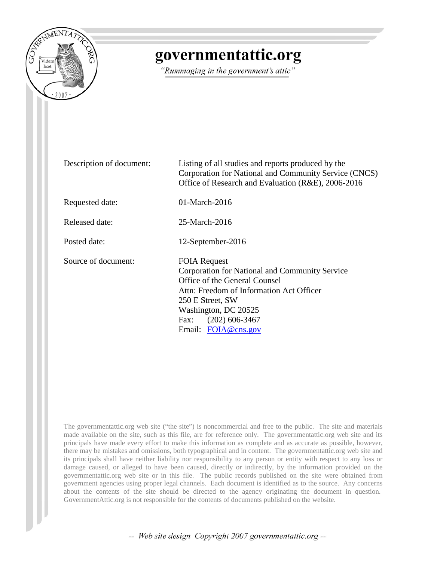

## governmentattic.org

"Rummaging in the government's attic"

| Description of document: | Listing of all studies and reports produced by the<br>Corporation for National and Community Service (CNCS)<br>Office of Research and Evaluation (R&E), 2006-2016                                                                                 |
|--------------------------|---------------------------------------------------------------------------------------------------------------------------------------------------------------------------------------------------------------------------------------------------|
| Requested date:          | $01$ -March-2016                                                                                                                                                                                                                                  |
| Released date:           | 25-March-2016                                                                                                                                                                                                                                     |
| Posted date:             | 12-September-2016                                                                                                                                                                                                                                 |
| Source of document:      | <b>FOIA Request</b><br>Corporation for National and Community Service<br>Office of the General Counsel<br>Attn: Freedom of Information Act Officer<br>250 E Street, SW<br>Washington, DC 20525<br>$(202)$ 606-3467<br>Fax:<br>Email: FOIA@cns.gov |

The governmentattic.org web site ("the site") is noncommercial and free to the public. The site and materials made available on the site, such as this file, are for reference only. The governmentattic.org web site and its principals have made every effort to make this information as complete and as accurate as possible, however, there may be mistakes and omissions, both typographical and in content. The governmentattic.org web site and its principals shall have neither liability nor responsibility to any person or entity with respect to any loss or damage caused, or alleged to have been caused, directly or indirectly, by the information provided on the governmentattic.org web site or in this file. The public records published on the site were obtained from government agencies using proper legal channels. Each document is identified as to the source. Any concerns about the contents of the site should be directed to the agency originating the document in question. GovernmentAttic.org is not responsible for the contents of documents published on the website.

-- Web site design Copyright 2007 governmentattic.org --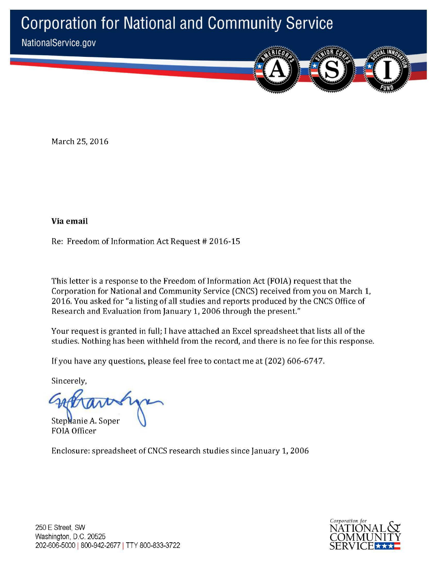## **Corporation for National and Community Service**





March 25, 2016

**Via email** 

Re: Freedom of Information Act Request # 2016-15

This letter is a response to the Freedom of Information Act (FOIA) request that the Corporation for National and Community Service (CNCS) received from you on March 1, 2016. You asked for "a listing of all studies and reports produced by the CNCS Office of Research and Evaluation from January 1, 2006 through the present."

Your request is granted in full; I have attached an Excel spreadsheet that lists all of the studies. Nothing has been withheld from the record, and there is no fee for this response.

If you have any questions, please feel free to contact me at (202) 606-6747.

Sincerely,

Stephanie A. Soper FO IA Officer

Enclosure: spreadsheet of CNCS research studies since January 1, 2006

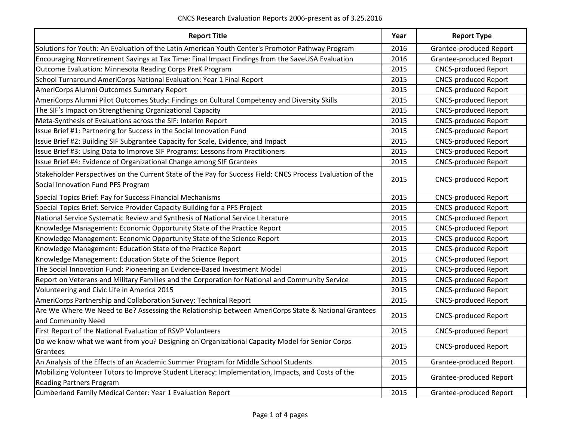| <b>Report Title</b>                                                                                                                              |      | <b>Report Type</b>          |
|--------------------------------------------------------------------------------------------------------------------------------------------------|------|-----------------------------|
| Solutions for Youth: An Evaluation of the Latin American Youth Center's Promotor Pathway Program                                                 | 2016 | Grantee-produced Report     |
| Encouraging Nonretirement Savings at Tax Time: Final Impact Findings from the SaveUSA Evaluation                                                 | 2016 | Grantee-produced Report     |
| Outcome Evaluation: Minnesota Reading Corps PreK Program                                                                                         | 2015 | <b>CNCS-produced Report</b> |
| School Turnaround AmeriCorps National Evaluation: Year 1 Final Report                                                                            | 2015 | <b>CNCS-produced Report</b> |
| AmeriCorps Alumni Outcomes Summary Report                                                                                                        | 2015 | <b>CNCS-produced Report</b> |
| AmeriCorps Alumni Pilot Outcomes Study: Findings on Cultural Competency and Diversity Skills                                                     | 2015 | <b>CNCS-produced Report</b> |
| The SIF's Impact on Strengthening Organizational Capacity                                                                                        | 2015 | <b>CNCS-produced Report</b> |
| Meta-Synthesis of Evaluations across the SIF: Interim Report                                                                                     | 2015 | <b>CNCS-produced Report</b> |
| Issue Brief #1: Partnering for Success in the Social Innovation Fund                                                                             | 2015 | <b>CNCS-produced Report</b> |
| Issue Brief #2: Building SIF Subgrantee Capacity for Scale, Evidence, and Impact                                                                 | 2015 | <b>CNCS-produced Report</b> |
| Issue Brief #3: Using Data to Improve SIF Programs: Lessons from Practitioners                                                                   | 2015 | <b>CNCS-produced Report</b> |
| Issue Brief #4: Evidence of Organizational Change among SIF Grantees                                                                             | 2015 | <b>CNCS-produced Report</b> |
| Stakeholder Perspectives on the Current State of the Pay for Success Field: CNCS Process Evaluation of the<br>Social Innovation Fund PFS Program | 2015 | <b>CNCS-produced Report</b> |
| Special Topics Brief: Pay for Success Financial Mechanisms                                                                                       | 2015 | <b>CNCS-produced Report</b> |
| Special Topics Brief: Service Provider Capacity Building for a PFS Project                                                                       | 2015 | <b>CNCS-produced Report</b> |
| National Service Systematic Review and Synthesis of National Service Literature                                                                  | 2015 | <b>CNCS-produced Report</b> |
| Knowledge Management: Economic Opportunity State of the Practice Report                                                                          | 2015 | <b>CNCS-produced Report</b> |
| Knowledge Management: Economic Opportunity State of the Science Report                                                                           | 2015 | <b>CNCS-produced Report</b> |
| Knowledge Management: Education State of the Practice Report                                                                                     | 2015 | <b>CNCS-produced Report</b> |
| Knowledge Management: Education State of the Science Report                                                                                      | 2015 | <b>CNCS-produced Report</b> |
| The Social Innovation Fund: Pioneering an Evidence-Based Investment Model                                                                        | 2015 | <b>CNCS-produced Report</b> |
| Report on Veterans and Military Families and the Corporation for National and Community Service                                                  | 2015 | <b>CNCS-produced Report</b> |
| Volunteering and Civic Life in America 2015                                                                                                      | 2015 | <b>CNCS-produced Report</b> |
| AmeriCorps Partnership and Collaboration Survey: Technical Report                                                                                | 2015 | <b>CNCS-produced Report</b> |
| Are We Where We Need to Be? Assessing the Relationship between AmeriCorps State & National Grantees<br>and Community Need                        | 2015 | <b>CNCS-produced Report</b> |
| First Report of the National Evaluation of RSVP Volunteers                                                                                       | 2015 | <b>CNCS-produced Report</b> |
| Do we know what we want from you? Designing an Organizational Capacity Model for Senior Corps<br>Grantees                                        |      | <b>CNCS-produced Report</b> |
| An Analysis of the Effects of an Academic Summer Program for Middle School Students                                                              |      | Grantee-produced Report     |
| Mobilizing Volunteer Tutors to Improve Student Literacy: Implementation, Impacts, and Costs of the<br><b>Reading Partners Program</b>            |      | Grantee-produced Report     |
| Cumberland Family Medical Center: Year 1 Evaluation Report                                                                                       | 2015 | Grantee-produced Report     |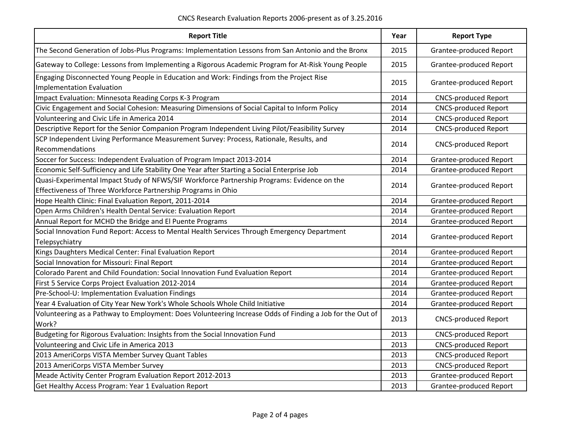CNCS Research Evaluation Reports 2006-present as of 3.25.2016

| <b>Report Title</b>                                                                                                                                          |      | <b>Report Type</b>             |
|--------------------------------------------------------------------------------------------------------------------------------------------------------------|------|--------------------------------|
| The Second Generation of Jobs-Plus Programs: Implementation Lessons from San Antonio and the Bronx                                                           |      | Grantee-produced Report        |
| Gateway to College: Lessons from Implementing a Rigorous Academic Program for At-Risk Young People                                                           |      | Grantee-produced Report        |
| Engaging Disconnected Young People in Education and Work: Findings from the Project Rise<br><b>Implementation Evaluation</b>                                 |      | <b>Grantee-produced Report</b> |
| Impact Evaluation: Minnesota Reading Corps K-3 Program                                                                                                       | 2014 | <b>CNCS-produced Report</b>    |
| Civic Engagement and Social Cohesion: Measuring Dimensions of Social Capital to Inform Policy                                                                | 2014 | <b>CNCS-produced Report</b>    |
| Volunteering and Civic Life in America 2014                                                                                                                  | 2014 | <b>CNCS-produced Report</b>    |
| Descriptive Report for the Senior Companion Program Independent Living Pilot/Feasibility Survey                                                              | 2014 | <b>CNCS-produced Report</b>    |
| SCP Independent Living Performance Measurement Survey: Process, Rationale, Results, and<br>Recommendations                                                   | 2014 | <b>CNCS-produced Report</b>    |
| Soccer for Success: Independent Evaluation of Program Impact 2013-2014                                                                                       | 2014 | Grantee-produced Report        |
| Economic Self-Sufficiency and Life Stability One Year after Starting a Social Enterprise Job                                                                 | 2014 | Grantee-produced Report        |
| Quasi-Experimental Impact Study of NFWS/SIF Workforce Partnership Programs: Evidence on the<br>Effectiveness of Three Workforce Partnership Programs in Ohio | 2014 | <b>Grantee-produced Report</b> |
| Hope Health Clinic: Final Evaluation Report, 2011-2014                                                                                                       | 2014 | Grantee-produced Report        |
| Open Arms Children's Health Dental Service: Evaluation Report                                                                                                | 2014 | <b>Grantee-produced Report</b> |
| Annual Report for MCHD the Bridge and El Puente Programs                                                                                                     | 2014 | Grantee-produced Report        |
| Social Innovation Fund Report: Access to Mental Health Services Through Emergency Department<br>Telepsychiatry                                               | 2014 | <b>Grantee-produced Report</b> |
| Kings Daughters Medical Center: Final Evaluation Report                                                                                                      | 2014 | Grantee-produced Report        |
| Social Innovation for Missouri: Final Report                                                                                                                 | 2014 | Grantee-produced Report        |
| Colorado Parent and Child Foundation: Social Innovation Fund Evaluation Report                                                                               | 2014 | Grantee-produced Report        |
| First 5 Service Corps Project Evaluation 2012-2014                                                                                                           | 2014 | Grantee-produced Report        |
| Pre-School-U: Implementation Evaluation Findings                                                                                                             | 2014 | Grantee-produced Report        |
| Year 4 Evaluation of City Year New York's Whole Schools Whole Child Initiative                                                                               | 2014 | Grantee-produced Report        |
| Volunteering as a Pathway to Employment: Does Volunteering Increase Odds of Finding a Job for the Out of<br>Work?                                            | 2013 | <b>CNCS-produced Report</b>    |
| Budgeting for Rigorous Evaluation: Insights from the Social Innovation Fund                                                                                  | 2013 | <b>CNCS-produced Report</b>    |
| Volunteering and Civic Life in America 2013                                                                                                                  | 2013 | <b>CNCS-produced Report</b>    |
| 2013 AmeriCorps VISTA Member Survey Quant Tables                                                                                                             |      | <b>CNCS-produced Report</b>    |
| 2013 AmeriCorps VISTA Member Survey                                                                                                                          | 2013 | <b>CNCS-produced Report</b>    |
| Meade Activity Center Program Evaluation Report 2012-2013                                                                                                    | 2013 | Grantee-produced Report        |
| Get Healthy Access Program: Year 1 Evaluation Report                                                                                                         | 2013 | Grantee-produced Report        |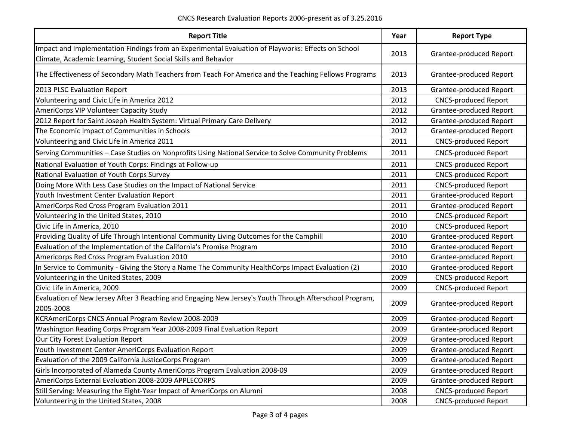| <b>Report Title</b>                                                                                                                                                  | Year | <b>Report Type</b>             |
|----------------------------------------------------------------------------------------------------------------------------------------------------------------------|------|--------------------------------|
| Impact and Implementation Findings from an Experimental Evaluation of Playworks: Effects on School<br>Climate, Academic Learning, Student Social Skills and Behavior |      | Grantee-produced Report        |
| The Effectiveness of Secondary Math Teachers from Teach For America and the Teaching Fellows Programs                                                                |      | Grantee-produced Report        |
| 2013 PLSC Evaluation Report                                                                                                                                          | 2013 | Grantee-produced Report        |
| Volunteering and Civic Life in America 2012                                                                                                                          | 2012 | <b>CNCS-produced Report</b>    |
| AmeriCorps VIP Volunteer Capacity Study                                                                                                                              | 2012 | Grantee-produced Report        |
| 2012 Report for Saint Joseph Health System: Virtual Primary Care Delivery                                                                                            | 2012 | Grantee-produced Report        |
| The Economic Impact of Communities in Schools                                                                                                                        | 2012 | Grantee-produced Report        |
| Volunteering and Civic Life in America 2011                                                                                                                          | 2011 | <b>CNCS-produced Report</b>    |
| Serving Communities - Case Studies on Nonprofits Using National Service to Solve Community Problems                                                                  | 2011 | <b>CNCS-produced Report</b>    |
| National Evaluation of Youth Corps: Findings at Follow-up                                                                                                            | 2011 | <b>CNCS-produced Report</b>    |
| National Evaluation of Youth Corps Survey                                                                                                                            | 2011 | <b>CNCS-produced Report</b>    |
| Doing More With Less Case Studies on the Impact of National Service                                                                                                  | 2011 | <b>CNCS-produced Report</b>    |
| Youth Investment Center Evaluation Report                                                                                                                            | 2011 | Grantee-produced Report        |
| AmeriCorps Red Cross Program Evaluation 2011                                                                                                                         | 2011 | Grantee-produced Report        |
| Volunteering in the United States, 2010                                                                                                                              | 2010 | <b>CNCS-produced Report</b>    |
| Civic Life in America, 2010                                                                                                                                          | 2010 | <b>CNCS-produced Report</b>    |
| Providing Quality of Life Through Intentional Community Living Outcomes for the Camphill                                                                             | 2010 | Grantee-produced Report        |
| Evaluation of the Implementation of the California's Promise Program                                                                                                 | 2010 | Grantee-produced Report        |
| Americorps Red Cross Program Evaluation 2010                                                                                                                         | 2010 | Grantee-produced Report        |
| In Service to Community - Giving the Story a Name The Community HealthCorps Impact Evaluation (2)                                                                    | 2010 | Grantee-produced Report        |
| Volunteering in the United States, 2009                                                                                                                              | 2009 | <b>CNCS-produced Report</b>    |
| Civic Life in America, 2009                                                                                                                                          | 2009 | <b>CNCS-produced Report</b>    |
| Evaluation of New Jersey After 3 Reaching and Engaging New Jersey's Youth Through Afterschool Program,<br>2005-2008                                                  | 2009 | Grantee-produced Report        |
| KCRAmeriCorps CNCS Annual Program Review 2008-2009                                                                                                                   | 2009 | Grantee-produced Report        |
| Washington Reading Corps Program Year 2008-2009 Final Evaluation Report                                                                                              | 2009 | Grantee-produced Report        |
| Our City Forest Evaluation Report                                                                                                                                    | 2009 | Grantee-produced Report        |
| Youth Investment Center AmeriCorps Evaluation Report                                                                                                                 | 2009 | Grantee-produced Report        |
| Evaluation of the 2009 California JusticeCorps Program                                                                                                               |      | Grantee-produced Report        |
| Girls Incorporated of Alameda County AmeriCorps Program Evaluation 2008-09                                                                                           |      | <b>Grantee-produced Report</b> |
| AmeriCorps External Evaluation 2008-2009 APPLECORPS                                                                                                                  | 2009 | Grantee-produced Report        |
| Still Serving: Measuring the Eight-Year Impact of AmeriCorps on Alumni                                                                                               | 2008 | <b>CNCS-produced Report</b>    |
| Volunteering in the United States, 2008                                                                                                                              | 2008 | <b>CNCS-produced Report</b>    |